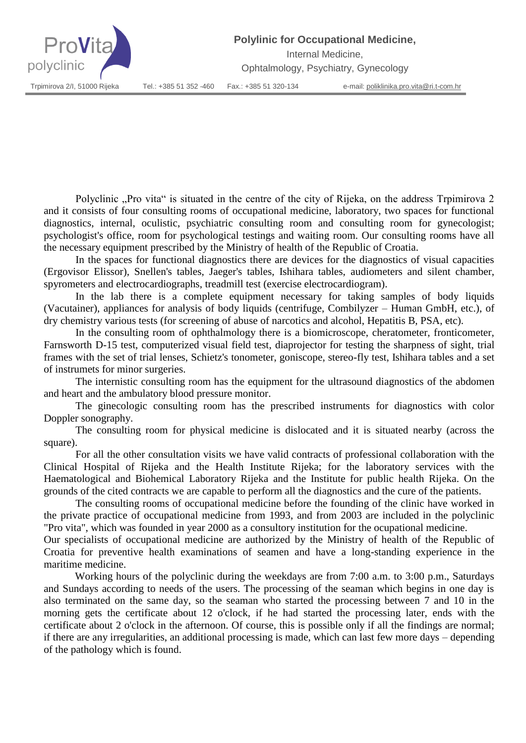**Polylinic for Occupational Medicine,**



Internal Medicine,

Ophtalmology, Psychiatry, Gynecology

Polyclinic "Pro vita" is situated in the centre of the city of Rijeka, on the address Trpimirova 2 and it consists of four consulting rooms of occupational medicine, laboratory, two spaces for functional diagnostics, internal, oculistic, psychiatric consulting room and consulting room for gynecologist; psychologist's office, room for psychological testings and waiting room. Our consulting rooms have all the necessary equipment prescribed by the Ministry of health of the Republic of Croatia.

In the spaces for functional diagnostics there are devices for the diagnostics of visual capacities (Ergovisor Elissor), Snellen's tables, Jaeger's tables, Ishihara tables, audiometers and silent chamber, spyrometers and electrocardiographs, treadmill test (exercise electrocardiogram).

In the lab there is a complete equipment necessary for taking samples of body liquids (Vacutainer), appliances for analysis of body liquids (centrifuge, Combilyzer – Human GmbH, etc.), of dry chemistry various tests (for screening of abuse of narcotics and alcohol, Hepatitis B, PSA, etc).

In the consulting room of ophthalmology there is a biomicroscope, cheratometer, fronticometer, Farnsworth D-15 test, computerized visual field test, diaprojector for testing the sharpness of sight, trial frames with the set of trial lenses, Schietz's tonometer, goniscope, stereo-fly test, Ishihara tables and a set of instrumets for minor surgeries.

The internistic consulting room has the equipment for the ultrasound diagnostics of the abdomen and heart and the ambulatory blood pressure monitor.

The ginecologic consulting room has the prescribed instruments for diagnostics with color Doppler sonography.

The consulting room for physical medicine is dislocated and it is situated nearby (across the square).

For all the other consultation visits we have valid contracts of professional collaboration with the Clinical Hospital of Rijeka and the Health Institute Rijeka; for the laboratory services with the Haematological and Biohemical Laboratory Rijeka and the Institute for public health Rijeka. On the grounds of the cited contracts we are capable to perform all the diagnostics and the cure of the patients.

The consulting rooms of occupational medicine before the founding of the clinic have worked in the private practice of occupational medicine from 1993, and from 2003 are included in the polyclinic "Pro vita", which was founded in year 2000 as a consultory institution for the ocupational medicine.

Our specialists of occupational medicine are authorized by the Ministry of health of the Republic of Croatia for preventive health examinations of seamen and have a long-standing experience in the maritime medicine.

Working hours of the polyclinic during the weekdays are from 7:00 a.m. to 3:00 p.m., Saturdays and Sundays according to needs of the users. The processing of the seaman which begins in one day is also terminated on the same day, so the seaman who started the processing between 7 and 10 in the morning gets the certificate about 12 o'clock, if he had started the processing later, ends with the certificate about 2 o'clock in the afternoon. Of course, this is possible only if all the findings are normal; if there are any irregularities, an additional processing is made, which can last few more days – depending of the pathology which is found.